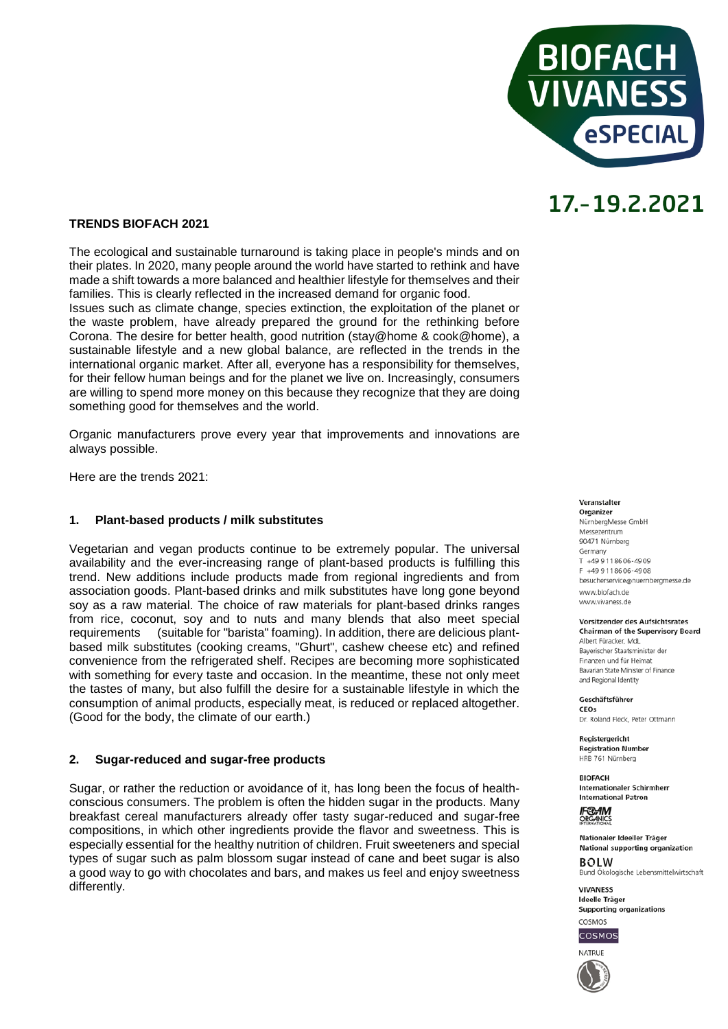

### **TRENDS BIOFACH 2021**

The ecological and sustainable turnaround is taking place in people's minds and on their plates. In 2020, many people around the world have started to rethink and have made a shift towards a more balanced and healthier lifestyle for themselves and their families. This is clearly reflected in the increased demand for organic food.

Issues such as climate change, species extinction, the exploitation of the planet or the waste problem, have already prepared the ground for the rethinking before Corona. The desire for better health, good nutrition (stay@home & cook@home), a sustainable lifestyle and a new global balance, are reflected in the trends in the international organic market. After all, everyone has a responsibility for themselves, for their fellow human beings and for the planet we live on. Increasingly, consumers are willing to spend more money on this because they recognize that they are doing something good for themselves and the world.

Organic manufacturers prove every year that improvements and innovations are always possible.

Here are the trends 2021:

### **1. Plant-based products / milk substitutes**

Vegetarian and vegan products continue to be extremely popular. The universal availability and the ever-increasing range of plant-based products is fulfilling this trend. New additions include products made from regional ingredients and from association goods. Plant-based drinks and milk substitutes have long gone beyond soy as a raw material. The choice of raw materials for plant-based drinks ranges from rice, coconut, soy and to nuts and many blends that also meet special requirements (suitable for "barista" foaming). In addition, there are delicious plant-(suitable for "barista" foaming). In addition, there are delicious plantbased milk substitutes (cooking creams, "Ghurt", cashew cheese etc) and refined convenience from the refrigerated shelf. Recipes are becoming more sophisticated with something for every taste and occasion. In the meantime, these not only meet the tastes of many, but also fulfill the desire for a sustainable lifestyle in which the consumption of animal products, especially meat, is reduced or replaced altogether. (Good for the body, the climate of our earth.)

### **2. Sugar-reduced and sugar-free products**

Sugar, or rather the reduction or avoidance of it, has long been the focus of healthconscious consumers. The problem is often the hidden sugar in the products. Many breakfast cereal manufacturers already offer tasty sugar-reduced and sugar-free compositions, in which other ingredients provide the flavor and sweetness. This is especially essential for the healthy nutrition of children. Fruit sweeteners and special types of sugar such as palm blossom sugar instead of cane and beet sugar is also a good way to go with chocolates and bars, and makes us feel and enjoy sweetness differently.

Veranstalter

Organizer NürnbergMesse GmbH Messezentrum 90471 Nürnberg Germany  $T$  +49 9 11 86 06 - 49 09 F +49 9 11 86 06 - 49 08 besucherservice@nuernbergmesse.de www.biofach.de www.vivaness.de

#### **Vorsitzender des Aufsichtsrates Chairman of the Supervisory Board**

Albert Füracker. MdL Bayerischer Staatsminister der Finanzen und für Heimat Bavarian State Minister of Finance and Regional Identity

Geschäftsführer CEOS

Dr. Roland Eleck, Peter Ottmann

**Registergericht Registration Number** HRB 761 Nürnberg

**BIOEACH** Internationaler Schirmherr **International Patron** 

**IF®AM** ORGANICS

Nationaler Ideeller Träger National supporting organization  $ROIM$ Bund Ökologische Lebensmittelwirtschaft

**VIVANESS** Ideelle Träger Supporting organizations



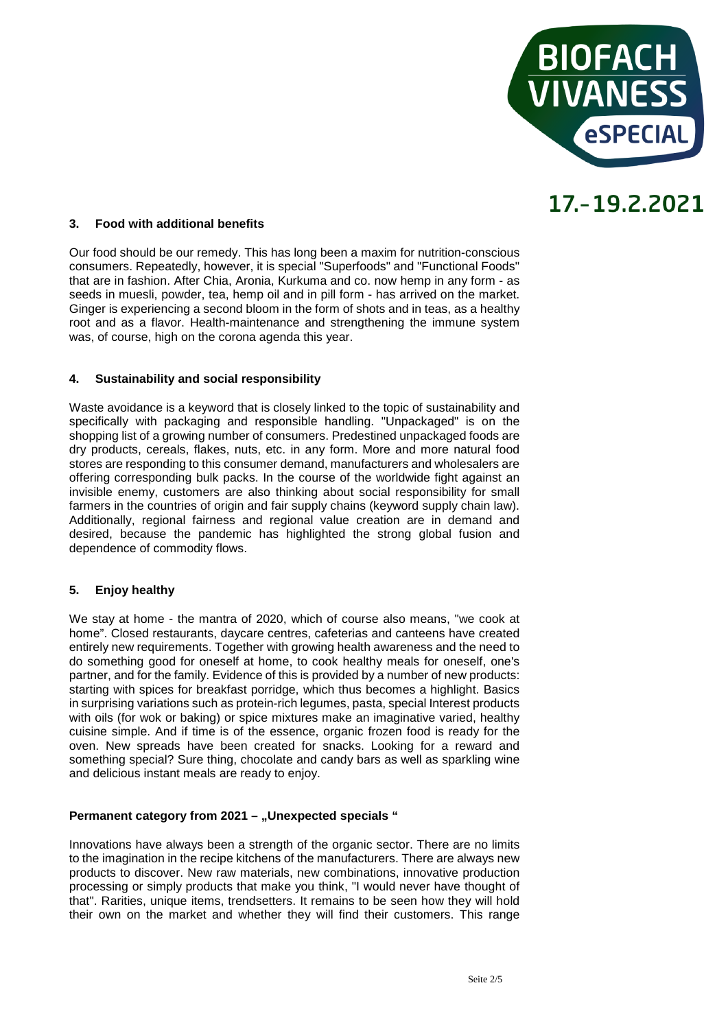

## **3. Food with additional benefits**

Our food should be our remedy. This has long been a maxim for nutrition-conscious consumers. Repeatedly, however, it is special "Superfoods" and "Functional Foods" that are in fashion. After Chia, Aronia, Kurkuma and co. now hemp in any form - as seeds in muesli, powder, tea, hemp oil and in pill form - has arrived on the market. Ginger is experiencing a second bloom in the form of shots and in teas, as a healthy root and as a flavor. Health-maintenance and strengthening the immune system was, of course, high on the corona agenda this year.

### **4. Sustainability and social responsibility**

Waste avoidance is a keyword that is closely linked to the topic of sustainability and specifically with packaging and responsible handling. "Unpackaged" is on the shopping list of a growing number of consumers. Predestined unpackaged foods are dry products, cereals, flakes, nuts, etc. in any form. More and more natural food stores are responding to this consumer demand, manufacturers and wholesalers are offering corresponding bulk packs. In the course of the worldwide fight against an invisible enemy, customers are also thinking about social responsibility for small farmers in the countries of origin and fair supply chains (keyword supply chain law). Additionally, regional fairness and regional value creation are in demand and desired, because the pandemic has highlighted the strong global fusion and dependence of commodity flows.

# **5. Enjoy healthy**

We stay at home - the mantra of 2020, which of course also means, "we cook at home". Closed restaurants, daycare centres, cafeterias and canteens have created entirely new requirements. Together with growing health awareness and the need to do something good for oneself at home, to cook healthy meals for oneself, one's partner, and for the family. Evidence of this is provided by a number of new products: starting with spices for breakfast porridge, which thus becomes a highlight. Basics in surprising variations such as protein-rich legumes, pasta, special Interest products with oils (for wok or baking) or spice mixtures make an imaginative varied, healthy cuisine simple. And if time is of the essence, organic frozen food is ready for the oven. New spreads have been created for snacks. Looking for a reward and something special? Sure thing, chocolate and candy bars as well as sparkling wine and delicious instant meals are ready to enjoy.

### **Permanent category from 2021 - "Unexpected specials "**

Innovations have always been a strength of the organic sector. There are no limits to the imagination in the recipe kitchens of the manufacturers. There are always new products to discover. New raw materials, new combinations, innovative production processing or simply products that make you think, "I would never have thought of that". Rarities, unique items, trendsetters. It remains to be seen how they will hold their own on the market and whether they will find their customers. This range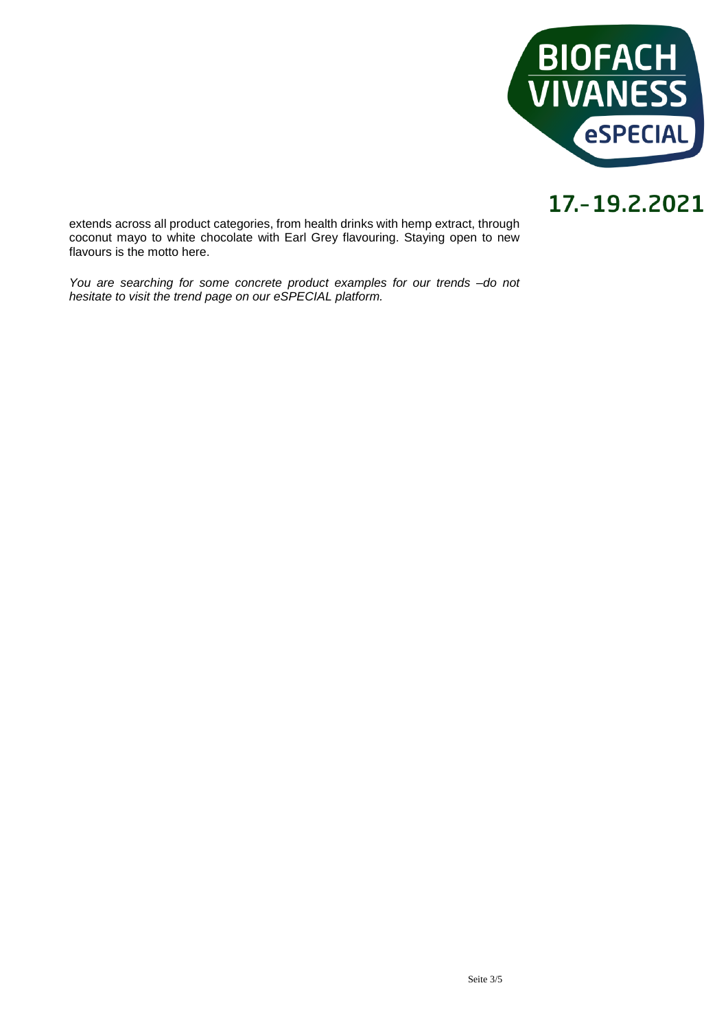

extends across all product categories, from health drinks with hemp extract, through coconut mayo to white chocolate with Earl Grey flavouring. Staying open to new flavours is the motto here.

*You are searching for some concrete product examples for our trends –do not hesitate to visit the trend page on our eSPECIAL platform.*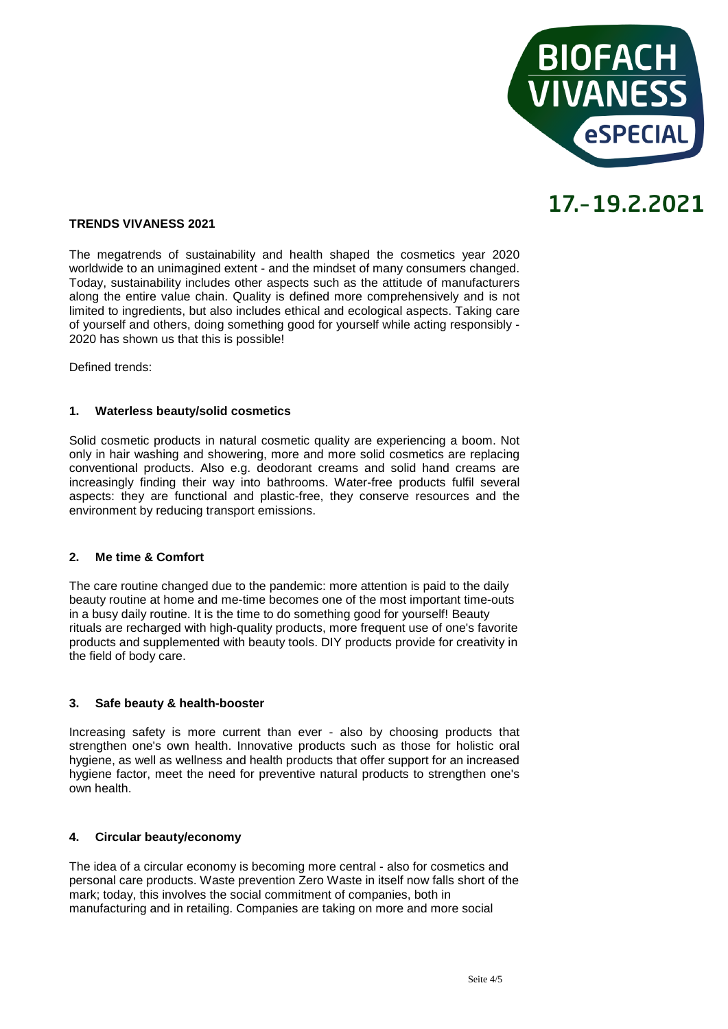

### **TRENDS VIVANESS 2021**

The megatrends of sustainability and health shaped the cosmetics year 2020 worldwide to an unimagined extent - and the mindset of many consumers changed. Today, sustainability includes other aspects such as the attitude of manufacturers along the entire value chain. Quality is defined more comprehensively and is not limited to ingredients, but also includes ethical and ecological aspects. Taking care of yourself and others, doing something good for yourself while acting responsibly - 2020 has shown us that this is possible!

Defined trends:

### **1. Waterless beauty/solid cosmetics**

Solid cosmetic products in natural cosmetic quality are experiencing a boom. Not only in hair washing and showering, more and more solid cosmetics are replacing conventional products. Also e.g. deodorant creams and solid hand creams are increasingly finding their way into bathrooms. Water-free products fulfil several aspects: they are functional and plastic-free, they conserve resources and the environment by reducing transport emissions.

### **2. Me time & Comfort**

The care routine changed due to the pandemic: more attention is paid to the daily beauty routine at home and me-time becomes one of the most important time-outs in a busy daily routine. It is the time to do something good for yourself! Beauty rituals are recharged with high-quality products, more frequent use of one's favorite products and supplemented with beauty tools. DIY products provide for creativity in the field of body care.

### **3. Safe beauty & health-booster**

Increasing safety is more current than ever - also by choosing products that strengthen one's own health. Innovative products such as those for holistic oral hygiene, as well as wellness and health products that offer support for an increased hygiene factor, meet the need for preventive natural products to strengthen one's own health.

### **4. Circular beauty/economy**

The idea of a circular economy is becoming more central - also for cosmetics and personal care products. Waste prevention Zero Waste in itself now falls short of the mark; today, this involves the social commitment of companies, both in manufacturing and in retailing. Companies are taking on more and more social